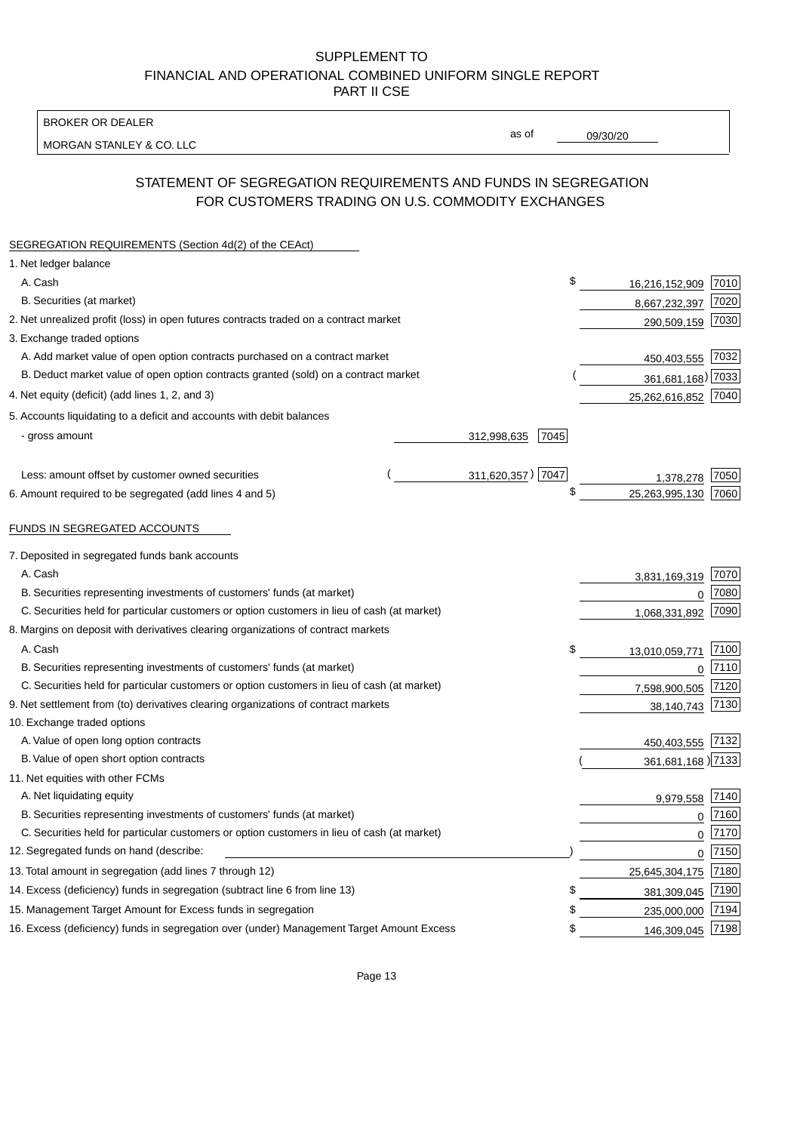BROKER OR DEALER

MORGAN STANLEY & CO. LLC

09/30/20

as of

# STATEMENT OF SEGREGATION REQUIREMENTS AND FUNDS IN SEGREGATION FOR CUSTOMERS TRADING ON U.S. COMMODITY EXCHANGES

| SEGREGATION REQUIREMENTS (Section 4d(2) of the CEAct)                                       |                     |                      |      |
|---------------------------------------------------------------------------------------------|---------------------|----------------------|------|
| 1. Net ledger balance                                                                       |                     |                      |      |
| A. Cash                                                                                     |                     | \$<br>16,216,152,909 | 7010 |
| B. Securities (at market)                                                                   |                     | 8,667,232,397        | 7020 |
| 2. Net unrealized profit (loss) in open futures contracts traded on a contract market       |                     | 290,509,159          | 7030 |
| 3. Exchange traded options                                                                  |                     |                      |      |
| A. Add market value of open option contracts purchased on a contract market                 |                     | 450,403,555          | 7032 |
| B. Deduct market value of open option contracts granted (sold) on a contract market         |                     | 361,681,168) 7033    |      |
| 4. Net equity (deficit) (add lines 1, 2, and 3)                                             |                     | 25,262,616,852 7040  |      |
| 5. Accounts liquidating to a deficit and accounts with debit balances                       |                     |                      |      |
| - gross amount                                                                              | 312,998,635<br>7045 |                      |      |
|                                                                                             |                     |                      |      |
| Less: amount offset by customer owned securities                                            | 311,620,357) 7047   | 1,378,278            | 7050 |
| 6. Amount required to be segregated (add lines 4 and 5)                                     |                     | \$<br>25,263,995,130 | 7060 |
| FUNDS IN SEGREGATED ACCOUNTS                                                                |                     |                      |      |
| 7. Deposited in segregated funds bank accounts                                              |                     |                      |      |
| A. Cash                                                                                     |                     | 3,831,169,319        | 7070 |
| B. Securities representing investments of customers' funds (at market)                      |                     | $\mathbf{0}$         | 7080 |
| C. Securities held for particular customers or option customers in lieu of cash (at market) |                     | 1,068,331,892        | 7090 |
| 8. Margins on deposit with derivatives clearing organizations of contract markets           |                     |                      |      |
| A. Cash                                                                                     |                     | \$<br>13,010,059,771 | 7100 |
| B. Securities representing investments of customers' funds (at market)                      |                     | $\mathbf 0$          | 7110 |
| C. Securities held for particular customers or option customers in lieu of cash (at market) |                     | 7,598,900,505        | 7120 |
| 9. Net settlement from (to) derivatives clearing organizations of contract markets          |                     | 38,140,743           | 7130 |
| 10. Exchange traded options                                                                 |                     |                      |      |
| A. Value of open long option contracts                                                      |                     | 450,403,555          | 7132 |
| B. Value of open short option contracts                                                     |                     | 361,681,168 )7133    |      |
| 11. Net equities with other FCMs                                                            |                     |                      |      |
| A. Net liquidating equity                                                                   |                     | 9,979,558            | 7140 |
| B. Securities representing investments of customers' funds (at market)                      |                     | $\Omega$             | 7160 |
| C. Securities held for particular customers or option customers in lieu of cash (at market) |                     | $\mathbf 0$          | 7170 |
| 12. Segregated funds on hand (describe:                                                     |                     | $\mathbf 0$          | 7150 |
| 13. Total amount in segregation (add lines 7 through 12)                                    |                     | 25,645,304,175       | 7180 |
| 14. Excess (deficiency) funds in segregation (subtract line 6 from line 13)                 |                     | \$<br>381,309,045    | 7190 |
| 15. Management Target Amount for Excess funds in segregation                                |                     | \$<br>235,000,000    | 7194 |
| 16. Excess (deficiency) funds in segregation over (under) Management Target Amount Excess   |                     | \$<br>146,309,045    | 7198 |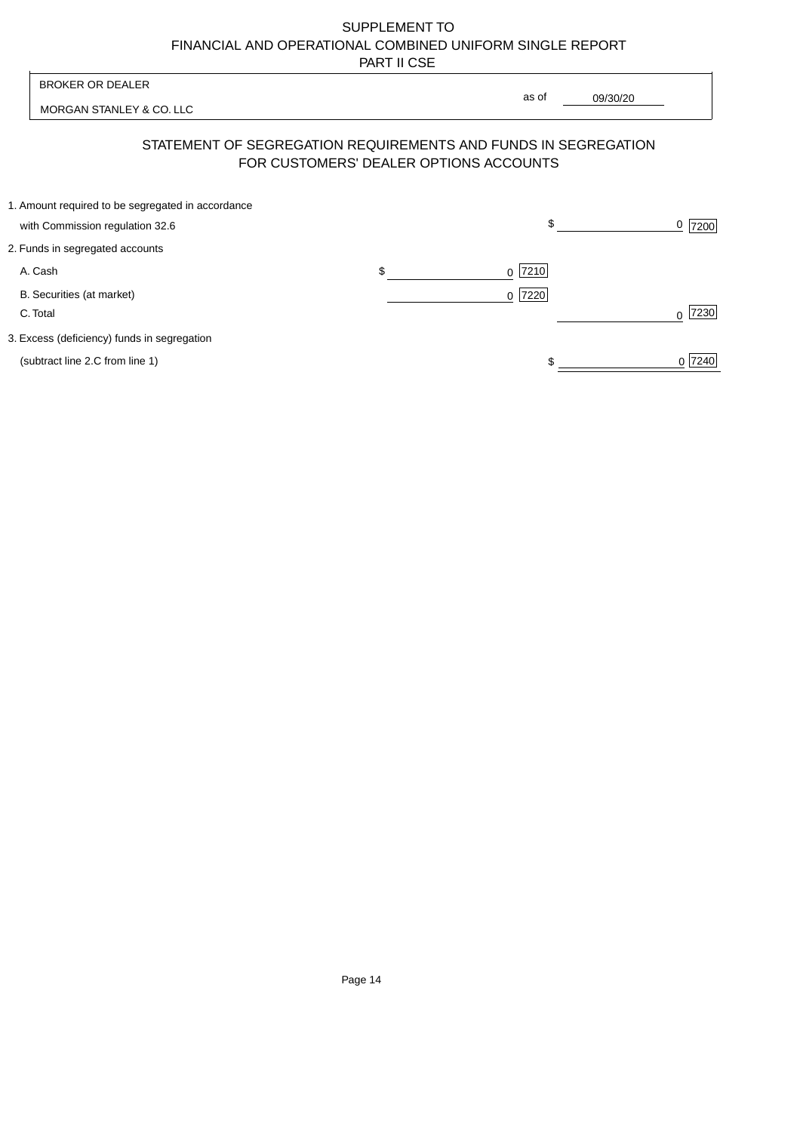| <b>BROKER OR DEALER</b>                                                              | as of                                                                                                    |           |
|--------------------------------------------------------------------------------------|----------------------------------------------------------------------------------------------------------|-----------|
| MORGAN STANLEY & CO. LLC                                                             | 09/30/20                                                                                                 |           |
|                                                                                      | STATEMENT OF SEGREGATION REQUIREMENTS AND FUNDS IN SEGREGATION<br>FOR CUSTOMERS' DEALER OPTIONS ACCOUNTS |           |
| 1. Amount required to be segregated in accordance<br>with Commission regulation 32.6 | \$                                                                                                       | 7200      |
| 2. Funds in segregated accounts                                                      |                                                                                                          |           |
| A. Cash                                                                              | \$<br> 7210 <br>$\Omega$                                                                                 |           |
| B. Securities (at market)<br>C. Total                                                | 7220<br>$\Omega$                                                                                         | 7230<br>∩ |
| 3. Excess (deficiency) funds in segregation                                          |                                                                                                          |           |
| (subtract line 2.C from line 1)                                                      |                                                                                                          | 0 7240    |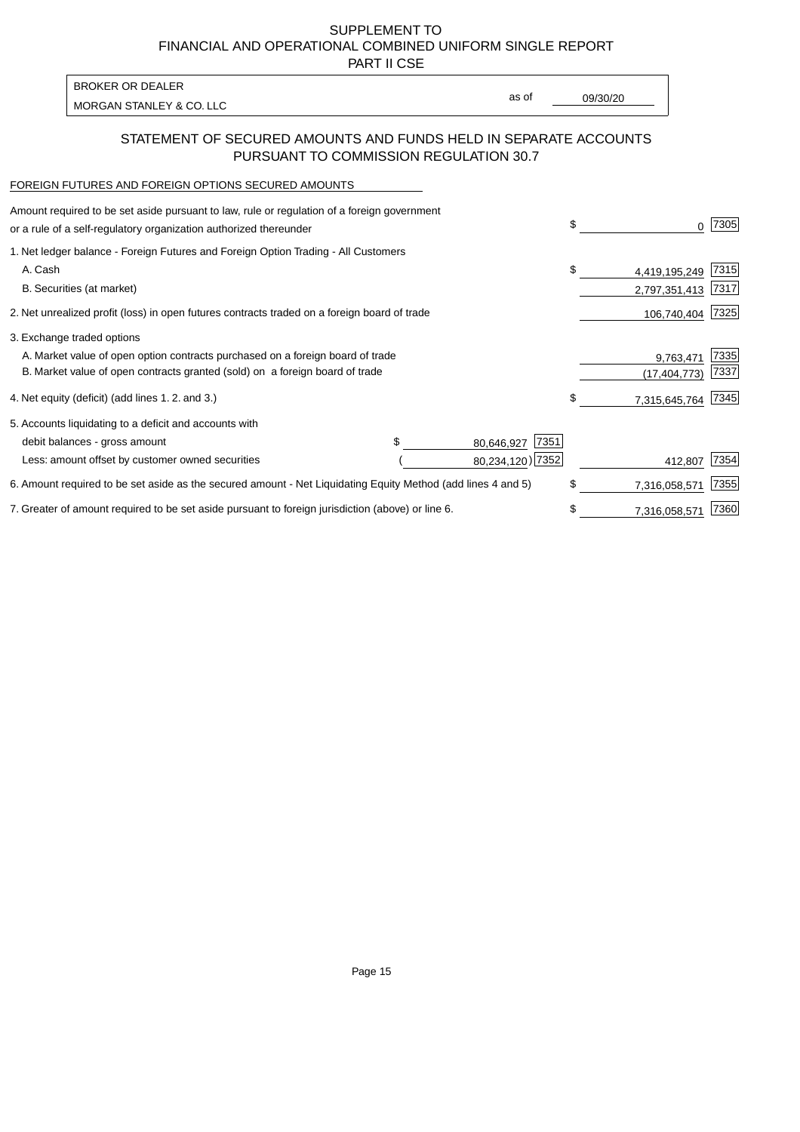PART II CSE

| <b>BROKER OR DEALER</b>  |       |          |
|--------------------------|-------|----------|
| MORGAN STANLEY & CO. LLC | as of | 09/30/20 |
|                          |       |          |

### STATEMENT OF SECURED AMOUNTS AND FUNDS HELD IN SEPARATE ACCOUNTS PURSUANT TO COMMISSION REGULATION 30.7

#### FOREIGN FUTURES AND FOREIGN OPTIONS SECURED AMOUNTS

| 1. Net ledger balance - Foreign Futures and Foreign Option Trading - All Customers<br>A. Cash<br>\$<br>B. Securities (at market) |               | 7305 |
|----------------------------------------------------------------------------------------------------------------------------------|---------------|------|
|                                                                                                                                  |               |      |
|                                                                                                                                  | 4,419,195,249 | 7315 |
|                                                                                                                                  | 2,797,351,413 | 7317 |
| 2. Net unrealized profit (loss) in open futures contracts traded on a foreign board of trade                                     | 106,740,404   | 7325 |
| 3. Exchange traded options                                                                                                       |               |      |
| A. Market value of open option contracts purchased on a foreign board of trade                                                   | 9,763,471     | 7335 |
| B. Market value of open contracts granted (sold) on a foreign board of trade                                                     | (17,404,773)  | 7337 |
| \$<br>4. Net equity (deficit) (add lines 1.2. and 3.)                                                                            | 7,315,645,764 | 7345 |
| 5. Accounts liquidating to a deficit and accounts with                                                                           |               |      |
| 7351<br>debit balances - gross amount<br>80,646,927                                                                              |               |      |
| 80,234,120) 7352<br>Less: amount offset by customer owned securities                                                             | 412,807       | 7354 |
| \$<br>6. Amount required to be set aside as the secured amount - Net Liquidating Equity Method (add lines 4 and 5)               | 7,316,058,571 | 7355 |
| 7. Greater of amount required to be set aside pursuant to foreign jurisdiction (above) or line 6.<br>\$                          | 7,316,058,571 | 7360 |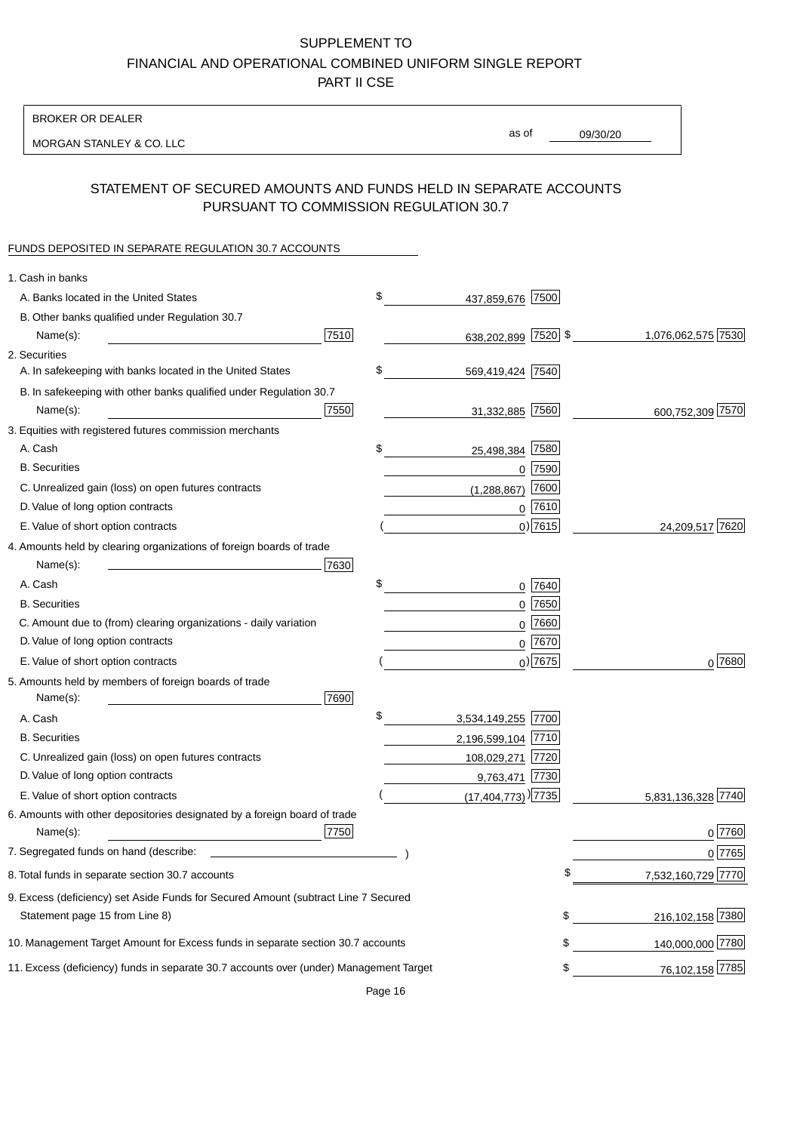BROKER OR DEALER

MORGAN STANLEY & CO. LLC

09/30/20 as of

## STATEMENT OF SECURED AMOUNTS AND FUNDS HELD IN SEPARATE ACCOUNTS PURSUANT TO COMMISSION REGULATION 30.7

#### FUNDS DEPOSITED IN SEPARATE REGULATION 30.7 ACCOUNTS

| 1. Cash in banks                                                                       |      |                                    |             |                    |
|----------------------------------------------------------------------------------------|------|------------------------------------|-------------|--------------------|
| A. Banks located in the United States                                                  | \$   | 437,859,676 7500                   |             |                    |
| B. Other banks qualified under Regulation 30.7                                         |      |                                    |             |                    |
| Name(s):                                                                               | 7510 | 638,202,899 7520 \$                |             | 1,076,062,575 7530 |
| 2. Securities                                                                          |      |                                    |             |                    |
| A. In safekeeping with banks located in the United States                              | \$   | 569,419,424 7540                   |             |                    |
| B. In safekeeping with other banks qualified under Regulation 30.7                     |      |                                    |             |                    |
| Name(s):                                                                               | 7550 | 31,332,885 7560                    |             | 600,752,309 7570   |
| 3. Equities with registered futures commission merchants                               |      |                                    |             |                    |
| A. Cash                                                                                | \$   | 25,498,384                         | 7580        |                    |
| <b>B.</b> Securities                                                                   |      |                                    | $0$ 7590    |                    |
| C. Unrealized gain (loss) on open futures contracts                                    |      | (1,288,867)                        | 7600        |                    |
| D. Value of long option contracts                                                      |      |                                    | $0$ 7610    |                    |
| E. Value of short option contracts                                                     |      |                                    | $0)$ 7615   | 24,209,517 7620    |
| 4. Amounts held by clearing organizations of foreign boards of trade                   |      |                                    |             |                    |
| Name(s):                                                                               | 7630 |                                    |             |                    |
| A. Cash                                                                                | \$   |                                    | $0$ 7640    |                    |
| <b>B.</b> Securities                                                                   |      |                                    | $0$ 7650    |                    |
| C. Amount due to (from) clearing organizations - daily variation                       |      | 0                                  | 7660        |                    |
| D. Value of long option contracts                                                      |      |                                    | 0 7670      |                    |
| E. Value of short option contracts                                                     |      |                                    | $_0$ ) 7675 | 0 7680             |
| 5. Amounts held by members of foreign boards of trade                                  |      |                                    |             |                    |
| Name(s):                                                                               | 7690 |                                    |             |                    |
| A. Cash                                                                                | \$   | 3,534,149,255 7700                 |             |                    |
| <b>B.</b> Securities                                                                   |      | 2,196,599,104 7710                 |             |                    |
| C. Unrealized gain (loss) on open futures contracts                                    |      | 108,029,271 7720                   |             |                    |
| D. Value of long option contracts                                                      |      | 9,763,471 7730                     |             |                    |
| E. Value of short option contracts                                                     |      | $(17,404,773)$ <sup>)</sup> [7735] |             | 5,831,136,328 7740 |
| 6. Amounts with other depositories designated by a foreign board of trade              |      |                                    |             |                    |
| Name(s):                                                                               | 7750 |                                    |             | 0 7760             |
| 7. Segregated funds on hand (describe:                                                 |      |                                    |             | 0 7765             |
| 8. Total funds in separate section 30.7 accounts                                       |      |                                    | \$          | 7,532,160,729 7770 |
| 9. Excess (deficiency) set Aside Funds for Secured Amount (subtract Line 7 Secured     |      |                                    |             |                    |
| Statement page 15 from Line 8)                                                         |      |                                    | \$          | 216,102,158 7380   |
| 10. Management Target Amount for Excess funds in separate section 30.7 accounts        |      |                                    | \$          | 140,000,000 7780   |
| 11. Excess (deficiency) funds in separate 30.7 accounts over (under) Management Target |      |                                    | \$          | 76,102,158 7785    |
|                                                                                        |      |                                    |             |                    |

Page 16